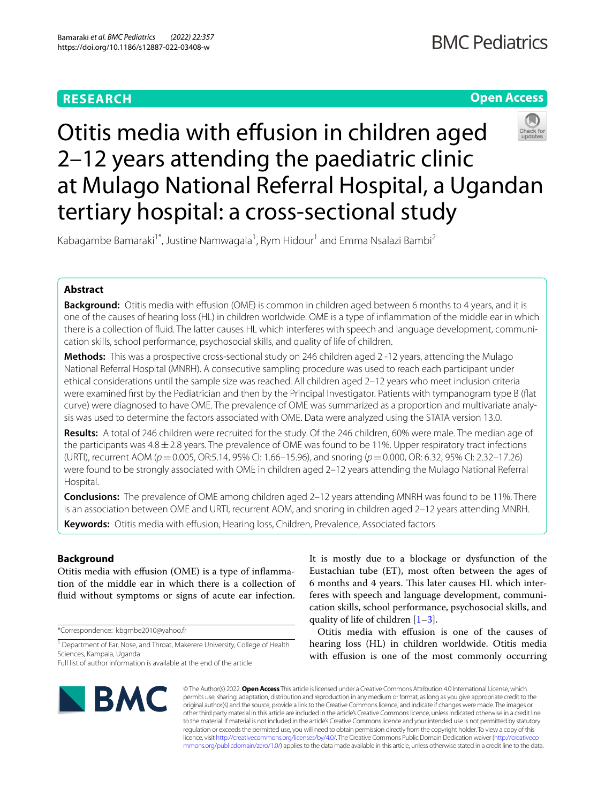# **RESEARCH**

# **Open Access**

# Otitis media with effusion in children aged 2–12 years attending the paediatric clinic at Mulago National Referral Hospital, a Ugandan tertiary hospital: a cross-sectional study

Kabagambe Bamaraki<sup>1\*</sup>, Justine Namwagala<sup>1</sup>, Rym Hidour<sup>1</sup> and Emma Nsalazi Bambi<sup>2</sup>

# **Abstract**

**Background:** Otitis media with efusion (OME) is common in children aged between 6 months to 4 years, and it is one of the causes of hearing loss (HL) in children worldwide. OME is a type of infammation of the middle ear in which there is a collection of fuid. The latter causes HL which interferes with speech and language development, communication skills, school performance, psychosocial skills, and quality of life of children.

**Methods:** This was a prospective cross-sectional study on 246 children aged 2-12 years, attending the Mulago National Referral Hospital (MNRH). A consecutive sampling procedure was used to reach each participant under ethical considerations until the sample size was reached. All children aged 2–12 years who meet inclusion criteria were examined frst by the Pediatrician and then by the Principal Investigator. Patients with tympanogram type B (fat curve) were diagnosed to have OME. The prevalence of OME was summarized as a proportion and multivariate analysis was used to determine the factors associated with OME. Data were analyzed using the STATA version 13.0.

**Results:** A total of 246 children were recruited for the study. Of the 246 children, 60% were male. The median age of the participants was  $4.8 \pm 2.8$  years. The prevalence of OME was found to be 11%. Upper respiratory tract infections (URTI), recurrent AOM (*p*=0.005, OR:5.14, 95% CI: 1.66–15.96), and snoring (*p*=0.000, OR: 6.32, 95% CI: 2.32–17.26) were found to be strongly associated with OME in children aged 2–12 years attending the Mulago National Referral Hospital.

**Conclusions:** The prevalence of OME among children aged 2–12 years attending MNRH was found to be 11%. There is an association between OME and URTI, recurrent AOM, and snoring in children aged 2–12 years attending MNRH. **Keywords:** Otitis media with efusion, Hearing loss, Children, Prevalence, Associated factors

# **Background**

Otitis media with efusion (OME) is a type of infammation of the middle ear in which there is a collection of fuid without symptoms or signs of acute ear infection.

\*Correspondence: kbgmbe2010@yahoo.fr

<sup>1</sup> Department of Ear, Nose, and Throat, Makerere University, College of Health Sciences, Kampala, Uganda

It is mostly due to a blockage or dysfunction of the Eustachian tube (ET), most often between the ages of 6 months and 4 years. This later causes HL which interferes with speech and language development, communication skills, school performance, psychosocial skills, and quality of life of children [[1–](#page-5-0)[3\]](#page-5-1).

Otitis media with efusion is one of the causes of hearing loss (HL) in children worldwide. Otitis media with effusion is one of the most commonly occurring



© The Author(s) 2022. **Open Access** This article is licensed under a Creative Commons Attribution 4.0 International License, which permits use, sharing, adaptation, distribution and reproduction in any medium or format, as long as you give appropriate credit to the original author(s) and the source, provide a link to the Creative Commons licence, and indicate if changes were made. The images or other third party material in this article are included in the article's Creative Commons licence, unless indicated otherwise in a credit line to the material. If material is not included in the article's Creative Commons licence and your intended use is not permitted by statutory regulation or exceeds the permitted use, you will need to obtain permission directly from the copyright holder. To view a copy of this licence, visit [http://creativecommons.org/licenses/by/4.0/.](http://creativecommons.org/licenses/by/4.0/) The Creative Commons Public Domain Dedication waiver ([http://creativeco](http://creativecommons.org/publicdomain/zero/1.0/) [mmons.org/publicdomain/zero/1.0/](http://creativecommons.org/publicdomain/zero/1.0/)) applies to the data made available in this article, unless otherwise stated in a credit line to the data.

Full list of author information is available at the end of the article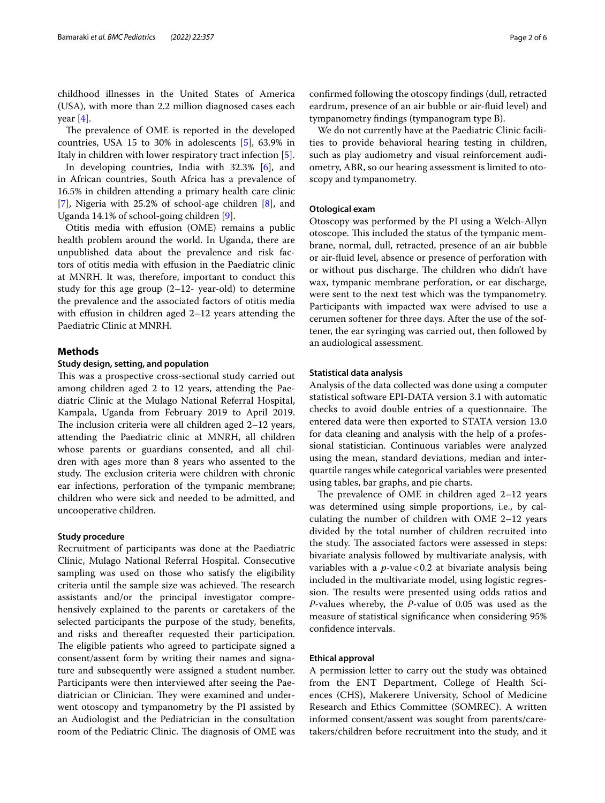childhood illnesses in the United States of America (USA), with more than 2.2 million diagnosed cases each year  $[4]$  $[4]$ .

The prevalence of OME is reported in the developed countries, USA 15 to 30% in adolescents [[5\]](#page-5-3), 63.9% in Italy in children with lower respiratory tract infection [[5\]](#page-5-3).

In developing countries, India with 32.3% [\[6](#page-5-4)], and in African countries, South Africa has a prevalence of 16.5% in children attending a primary health care clinic [[7\]](#page-5-5), Nigeria with 25.2% of school-age children [[8\]](#page-5-6), and Uganda 14.1% of school-going children [[9](#page-5-7)].

Otitis media with efusion (OME) remains a public health problem around the world. In Uganda, there are unpublished data about the prevalence and risk factors of otitis media with efusion in the Paediatric clinic at MNRH. It was, therefore, important to conduct this study for this age group  $(2-12$ - year-old) to determine the prevalence and the associated factors of otitis media with effusion in children aged  $2-12$  years attending the Paediatric Clinic at MNRH.

#### **Methods**

#### **Study design, setting, and population**

This was a prospective cross-sectional study carried out among children aged 2 to 12 years, attending the Paediatric Clinic at the Mulago National Referral Hospital, Kampala, Uganda from February 2019 to April 2019. The inclusion criteria were all children aged  $2-12$  years, attending the Paediatric clinic at MNRH, all children whose parents or guardians consented, and all children with ages more than 8 years who assented to the study. The exclusion criteria were children with chronic ear infections, perforation of the tympanic membrane; children who were sick and needed to be admitted, and uncooperative children.

#### **Study procedure**

Recruitment of participants was done at the Paediatric Clinic, Mulago National Referral Hospital. Consecutive sampling was used on those who satisfy the eligibility criteria until the sample size was achieved. The research assistants and/or the principal investigator comprehensively explained to the parents or caretakers of the selected participants the purpose of the study, benefts, and risks and thereafter requested their participation. The eligible patients who agreed to participate signed a consent/assent form by writing their names and signature and subsequently were assigned a student number. Participants were then interviewed after seeing the Paediatrician or Clinician. They were examined and underwent otoscopy and tympanometry by the PI assisted by an Audiologist and the Pediatrician in the consultation room of the Pediatric Clinic. The diagnosis of OME was confrmed following the otoscopy fndings (dull, retracted eardrum, presence of an air bubble or air-fuid level) and tympanometry fndings (tympanogram type B).

We do not currently have at the Paediatric Clinic facilities to provide behavioral hearing testing in children, such as play audiometry and visual reinforcement audiometry, ABR, so our hearing assessment is limited to otoscopy and tympanometry.

#### **Otological exam**

Otoscopy was performed by the PI using a Welch-Allyn otoscope. This included the status of the tympanic membrane, normal, dull, retracted, presence of an air bubble or air-fuid level, absence or presence of perforation with or without pus discharge. The children who didn't have wax, tympanic membrane perforation, or ear discharge, were sent to the next test which was the tympanometry. Participants with impacted wax were advised to use a cerumen softener for three days. After the use of the softener, the ear syringing was carried out, then followed by an audiological assessment.

#### **Statistical data analysis**

Analysis of the data collected was done using a computer statistical software EPI-DATA version 3.1 with automatic checks to avoid double entries of a questionnaire. The entered data were then exported to STATA version 13.0 for data cleaning and analysis with the help of a professional statistician. Continuous variables were analyzed using the mean, standard deviations, median and interquartile ranges while categorical variables were presented using tables, bar graphs, and pie charts.

The prevalence of OME in children aged  $2-12$  years was determined using simple proportions, i.e., by calculating the number of children with OME 2–12 years divided by the total number of children recruited into the study. The associated factors were assessed in steps: bivariate analysis followed by multivariate analysis, with variables with a  $p$ -value < 0.2 at bivariate analysis being included in the multivariate model, using logistic regression. The results were presented using odds ratios and *P*-values whereby, the *P*-value of 0.05 was used as the measure of statistical signifcance when considering 95% confdence intervals.

#### **Ethical approval**

A permission letter to carry out the study was obtained from the ENT Department, College of Health Sciences (CHS), Makerere University, School of Medicine Research and Ethics Committee (SOMREC). A written informed consent/assent was sought from parents/caretakers/children before recruitment into the study, and it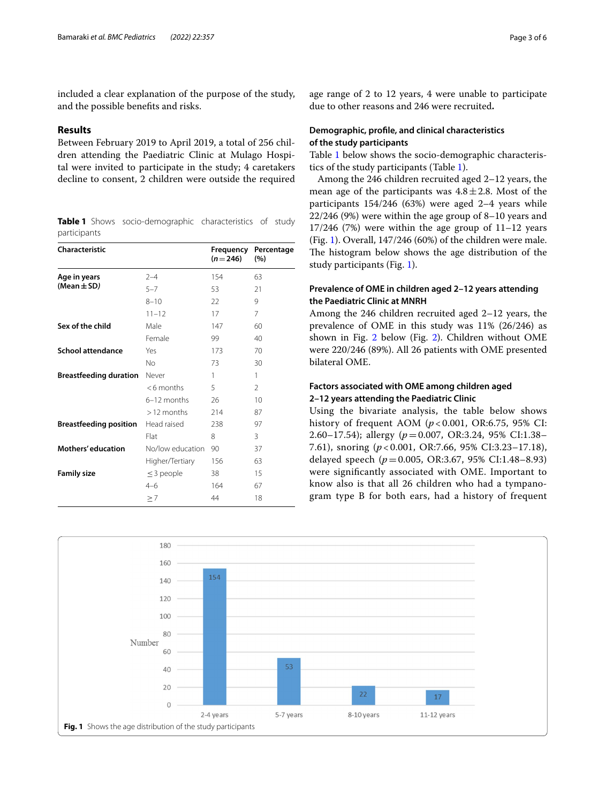included a clear explanation of the purpose of the study, and the possible benefts and risks.

#### **Results**

Between February 2019 to April 2019, a total of 256 children attending the Paediatric Clinic at Mulago Hospital were invited to participate in the study; 4 caretakers decline to consent, 2 children were outside the required

<span id="page-2-0"></span>**Table 1** Shows socio-demographic characteristics of study participants

| Characteristic                |                  | Frequency<br>$(n=246)$ | Percentage<br>(%) |
|-------------------------------|------------------|------------------------|-------------------|
| Age in years                  | $2 - 4$          | 154                    | 63                |
| (Mean $\pm$ SD)               | $5 - 7$          | 53                     | 21                |
|                               | $8 - 10$         | 22                     | 9                 |
|                               | $11 - 12$        | 17                     | 7                 |
| Sex of the child              | Male             | 147                    | 60                |
|                               | Female           | 99                     | 40                |
| <b>School attendance</b>      | Yes              | 173                    | 70                |
|                               | No               | 73                     | 30                |
| <b>Breastfeeding duration</b> | Never            | 1                      | 1                 |
|                               | $<$ 6 months     | 5                      | $\mathfrak{D}$    |
|                               | $6-12$ months    | 26                     | 10                |
|                               | $>12$ months     | 214                    | 87                |
| Breastfeeding position        | Head raised      | 238                    | 97                |
|                               | Flat             | 8                      | 3                 |
| <b>Mothers' education</b>     | No/low education | 90                     | 37                |
|                               | Higher/Tertiary  | 156                    | 63                |
| <b>Family size</b>            | $\leq$ 3 people  | 38                     | 15                |
|                               | $4 - 6$          | 164                    | 67                |
|                               | $\geq 7$         | 44                     | 18                |

age range of 2 to 12 years, 4 were unable to participate due to other reasons and 246 were recruited**.**

# **Demographic, profle, and clinical characteristics of the study participants**

Table [1](#page-2-0) below shows the socio-demographic characteristics of the study participants (Table [1](#page-2-0)).

Among the 246 children recruited aged 2–12 years, the mean age of the participants was  $4.8 \pm 2.8$ . Most of the participants 154/246 (63%) were aged 2–4 years while 22/246 (9%) were within the age group of 8–10 years and  $17/246$  (7%) were within the age group of  $11-12$  years (Fig. [1\)](#page-2-1). Overall, 147/246 (60%) of the children were male. The histogram below shows the age distribution of the study participants (Fig. [1\)](#page-2-1).

# **Prevalence of OME in children aged 2–12 years attending the Paediatric Clinic at MNRH**

Among the 246 children recruited aged 2–12 years, the prevalence of OME in this study was 11% (26/246) as shown in Fig. [2](#page-3-0) below (Fig. [2\)](#page-3-0). Children without OME were 220/246 (89%). All 26 patients with OME presented bilateral OME.

# **Factors associated with OME among children aged 2–12 years attending the Paediatric Clinic**

Using the bivariate analysis, the table below shows history of frequent AOM (*p* < 0.001, OR:6.75, 95% CI: 2.60–17.54); allergy (*p*=0.007, OR:3.24, 95% CI:1.38– 7.61), snoring (*p* < 0.001, OR:7.66, 95% CI:3.23–17.18), delayed speech (*p*=0.005, OR:3.67, 95% CI:1.48–8.93) were signifcantly associated with OME. Important to know also is that all 26 children who had a tympanogram type B for both ears, had a history of frequent

<span id="page-2-1"></span>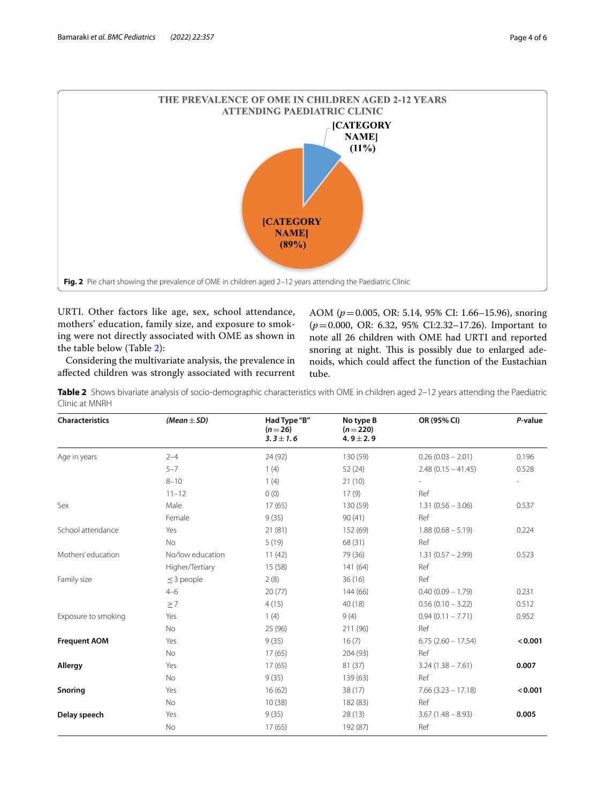

<span id="page-3-0"></span>URTI. Other factors like age, sex, school attendance, mothers' education, family size, and exposure to smoking were not directly associated with OME as shown in the table below (Table [2\)](#page-3-1):

Considering the multivariate analysis, the prevalence in afected children was strongly associated with recurrent AOM (*p*=0.005, OR: 5.14, 95% CI: 1.66–15.96), snoring (*p*=0.000, OR: 6.32, 95% CI:2.32–17.26). Important to note all 26 children with OME had URTI and reported snoring at night. This is possibly due to enlarged adenoids, which could afect the function of the Eustachian tube.

<span id="page-3-1"></span>**Table 2** Shows bivariate analysis of socio-demographic characteristics with OME in children aged 2–12 years attending the Paediatric Clinic at MNRH

| <b>Characteristics</b> | (Mean $\pm$ SD)  | Had Type "B"<br>$(n=26)$<br>$3.3 \pm 1.6$ | No type B<br>$(n=220)$<br>$4.9 \pm 2.9$ | OR (95% CI)          | P-value |
|------------------------|------------------|-------------------------------------------|-----------------------------------------|----------------------|---------|
| Age in years           | $2 - 4$          | 24 (92)                                   | 130 (59)                                | $0.26(0.03 - 2.01)$  | 0.196   |
|                        | $5 - 7$          | 1(4)                                      | 52(24)                                  | $2.48(0.15 - 41.45)$ | 0.528   |
|                        | $8 - 10$         | 1(4)                                      | 21(10)                                  |                      |         |
|                        | $11 - 12$        | 0(0)                                      | 17(9)                                   | Ref                  |         |
| Sex                    | Male             | 17(65)                                    | 130 (59)                                | $1.31(0.56 - 3.06)$  | 0.537   |
|                        | Female           | 9(35)                                     | 90(41)                                  | Ref                  |         |
| School attendance      | Yes              | 21(81)                                    | 152 (69)                                | $1.88(0.68 - 5.19)$  | 0.224   |
|                        | <b>No</b>        | 5(19)                                     | 68 (31)                                 | Ref                  |         |
| Mothers' education     | No/low education | 11(42)                                    | 79 (36)                                 | $1.31(0.57 - 2.99)$  | 0.523   |
|                        | Higher/Tertiary  | 15(58)                                    | 141 (64)                                | Ref                  |         |
| Family size            | $\leq$ 3 people  | 2(8)                                      | 36(16)                                  | Ref                  |         |
|                        | $4 - 6$          | 20(77)                                    | 144 (66)                                | $0.40(0.09 - 1.79)$  | 0.231   |
|                        | $\geq 7$         | 4(15)                                     | 40 (18)                                 | $0.56(0.10 - 3.22)$  | 0.512   |
| Exposure to smoking    | Yes              | 1(4)                                      | 9(4)                                    | $0.94(0.11 - 7.71)$  | 0.952   |
|                        | <b>No</b>        | 25 (96)                                   | 211 (96)                                | Ref                  |         |
| <b>Frequent AOM</b>    | Yes              | 9(35)                                     | 16(7)                                   | $6.75(2.60 - 17.54)$ | < 0.001 |
|                        | <b>No</b>        | 17(65)                                    | 204 (93)                                | Ref                  |         |
| Allergy                | Yes              | 17(65)                                    | 81 (37)                                 | $3.24(1.38 - 7.61)$  | 0.007   |
|                        | No               | 9(35)                                     | 139 (63)                                | Ref                  |         |
| Snoring                | Yes              | 16(62)                                    | 38(17)                                  | $7.66(3.23 - 17.18)$ | < 0.001 |
|                        | <b>No</b>        | 10(38)                                    | 182 (83)                                | Ref                  |         |
| Delay speech           | Yes              | 9(35)                                     | 28(13)                                  | $3.67(1.48 - 8.93)$  | 0.005   |
|                        | No               | 17(65)                                    | 192 (87)                                | Ref                  |         |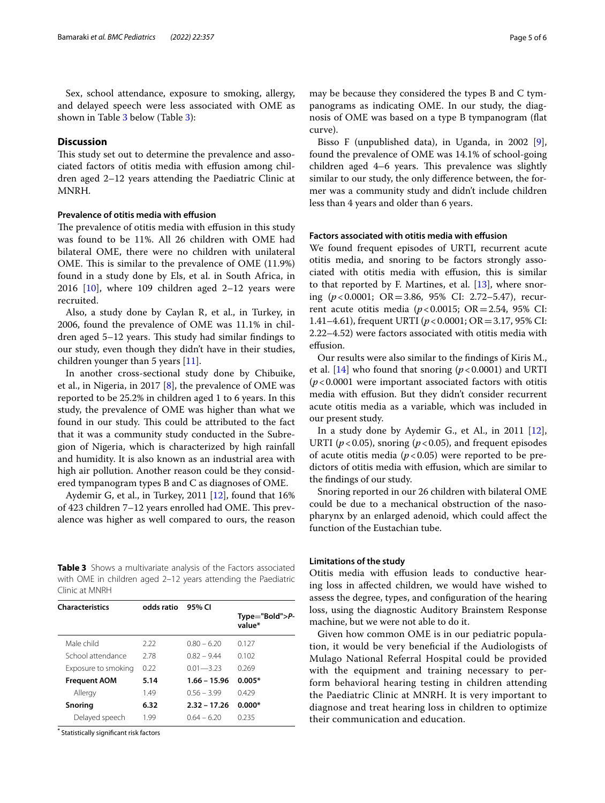Sex, school attendance, exposure to smoking, allergy, and delayed speech were less associated with OME as shown in Table [3](#page-4-0) below (Table [3](#page-4-0)):

#### **Discussion**

This study set out to determine the prevalence and associated factors of otitis media with efusion among children aged 2–12 years attending the Paediatric Clinic at MNRH.

#### **Prevalence of otitis media with efusion**

The prevalence of otitis media with effusion in this study was found to be 11%. All 26 children with OME had bilateral OME, there were no children with unilateral OME. This is similar to the prevalence of OME (11.9%) found in a study done by Els, et al. in South Africa, in 2016  $[10]$  $[10]$ , where 109 children aged 2-12 years were recruited.

Also, a study done by Caylan R, et al., in Turkey, in 2006, found the prevalence of OME was 11.1% in children aged 5–12 years. This study had similar findings to our study, even though they didn't have in their studies, children younger than 5 years [\[11\]](#page-5-9).

In another cross-sectional study done by Chibuike, et al., in Nigeria, in 2017 [[8\]](#page-5-6), the prevalence of OME was reported to be 25.2% in children aged 1 to 6 years. In this study, the prevalence of OME was higher than what we found in our study. This could be attributed to the fact that it was a community study conducted in the Subregion of Nigeria, which is characterized by high rainfall and humidity. It is also known as an industrial area with high air pollution. Another reason could be they considered tympanogram types B and C as diagnoses of OME.

Aydemir G, et al., in Turkey, 2011 [[12\]](#page-5-10), found that 16% of 423 children 7–12 years enrolled had OME. This prevalence was higher as well compared to ours, the reason

<span id="page-4-0"></span>**Table 3** Shows a multivariate analysis of the Factors associated with OME in children aged 2–12 years attending the Paediatric Clinic at MNRH

| <b>Characteristics</b> | odds ratio | 95% CI         |                              |  |
|------------------------|------------|----------------|------------------------------|--|
|                        |            |                | $Type="Bold" > P-$<br>value* |  |
| Male child             | 2.22       | $0.80 - 6.20$  | 0.127                        |  |
| School attendance      | 278        | $082 - 944$    | 0.102                        |  |
| Exposure to smoking    | 0.22       | $0.01 - 3.23$  | 0.269                        |  |
| <b>Frequent AOM</b>    | 5.14       | $1.66 - 15.96$ | $0.005*$                     |  |
| Allergy                | 1.49       | $0.56 - 3.99$  | 0429                         |  |
| Snoring                | 6.32       | $2.32 - 17.26$ | $0.000*$                     |  |
| Delayed speech         | 199        | $064 - 620$    | በ 235                        |  |
|                        |            |                |                              |  |

**\*** Statistically signifcant risk factors

may be because they considered the types B and C tympanograms as indicating OME. In our study, the diagnosis of OME was based on a type B tympanogram (fat curve).

Bisso F (unpublished data), in Uganda, in 2002 [\[9](#page-5-7)], found the prevalence of OME was 14.1% of school-going children aged  $4-6$  years. This prevalence was slightly similar to our study, the only diference between, the former was a community study and didn't include children less than 4 years and older than 6 years.

#### **Factors associated with otitis media with efusion**

We found frequent episodes of URTI, recurrent acute otitis media, and snoring to be factors strongly associated with otitis media with efusion, this is similar to that reported by F. Martines, et al. [[13\]](#page-5-11), where snoring (*p*<0.0001; OR=3.86, 95% CI: 2.72–5.47), recurrent acute otitis media (*p*<0.0015; OR=2.54, 95% CI: 1.41–4.61), frequent URTI (*p*<0.0001; OR=3.17, 95% CI: 2.22–4.52) were factors associated with otitis media with efusion.

Our results were also similar to the fndings of Kiris M., et al.  $[14]$  who found that snoring  $(p < 0.0001)$  and URTI (*p*<0.0001 were important associated factors with otitis media with effusion. But they didn't consider recurrent acute otitis media as a variable, which was included in our present study.

In a study done by Aydemir G., et Al., in 2011 [\[12](#page-5-10)], URTI ( $p$ <0.05), snoring ( $p$ <0.05), and frequent episodes of acute otitis media  $(p<0.05)$  were reported to be predictors of otitis media with efusion, which are similar to the fndings of our study.

Snoring reported in our 26 children with bilateral OME could be due to a mechanical obstruction of the nasopharynx by an enlarged adenoid, which could afect the function of the Eustachian tube.

#### **Limitations of the study**

Otitis media with efusion leads to conductive hearing loss in afected children, we would have wished to assess the degree, types, and confguration of the hearing loss, using the diagnostic Auditory Brainstem Response machine, but we were not able to do it.

Given how common OME is in our pediatric population, it would be very benefcial if the Audiologists of Mulago National Referral Hospital could be provided with the equipment and training necessary to perform behavioral hearing testing in children attending the Paediatric Clinic at MNRH. It is very important to diagnose and treat hearing loss in children to optimize their communication and education.